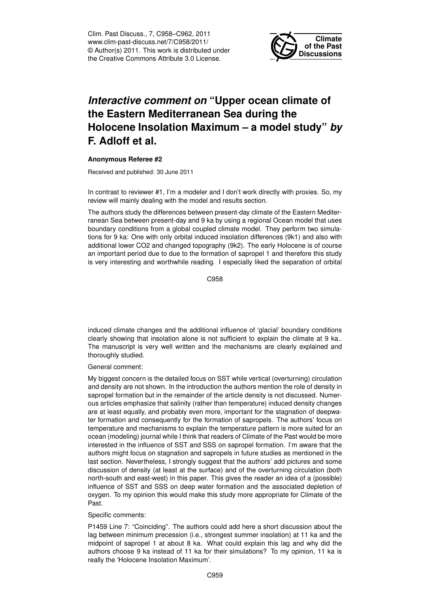Clim. Past Discuss., 7, C958–C962, 2011 www.clim-past-discuss.net/7/C958/2011/ © Author(s) 2011. This work is distributed under the Creative Commons Attribute 3.0 License.



## *Interactive comment on* **"Upper ocean climate of the Eastern Mediterranean Sea during the Holocene Insolation Maximum – a model study"** *by* **F. Adloff et al.**

## **Anonymous Referee #2**

Received and published: 30 June 2011

In contrast to reviewer #1, I'm a modeler and I don't work directly with proxies. So, my review will mainly dealing with the model and results section.

The authors study the differences between present-day climate of the Eastern Mediterranean Sea between present-day and 9 ka by using a regional Ocean model that uses boundary conditions from a global coupled climate model. They perform two simulations for 9 ka: One with only orbital induced insolation differences (9k1) and also with additional lower CO2 and changed topography (9k2). The early Holocene is of course an important period due to due to the formation of sapropel 1 and therefore this study is very interesting and worthwhile reading. I especially liked the separation of orbital

C958

induced climate changes and the additional influence of 'glacial' boundary conditions clearly showing that insolation alone is not sufficient to explain the climate at 9 ka.. The manuscript is very well written and the mechanisms are clearly explained and thoroughly studied.

General comment:

My biggest concern is the detailed focus on SST while vertical (overturning) circulation and density are not shown. In the introduction the authors mention the role of density in sapropel formation but in the remainder of the article density is not discussed. Numerous articles emphasize that salinity (rather than temperature) induced density changes are at least equally, and probably even more, important for the stagnation of deepwater formation and consequently for the formation of sapropels. The authors' focus on temperature and mechanisms to explain the temperature pattern is more suited for an ocean (modeling) journal while I think that readers of Climate of the Past would be more interested in the influence of SST and SSS on sapropel formation. I'm aware that the authors might focus on stagnation and sapropels in future studies as mentioned in the last section. Nevertheless, I strongly suggest that the authors' add pictures and some discussion of density (at least at the surface) and of the overturning circulation (both north-south and east-west) in this paper. This gives the reader an idea of a (possible) influence of SST and SSS on deep water formation and the associated depletion of oxygen. To my opinion this would make this study more appropriate for Climate of the Past.

## Specific comments:

P1459 Line 7: "Coinciding". The authors could add here a short discussion about the lag between minimum precession (i.e., strongest summer insolation) at 11 ka and the midpoint of sapropel 1 at about 8 ka. What could explain this lag and why did the authors choose 9 ka instead of 11 ka for their simulations? To my opinion, 11 ka is really the 'Holocene Insolation Maximum'.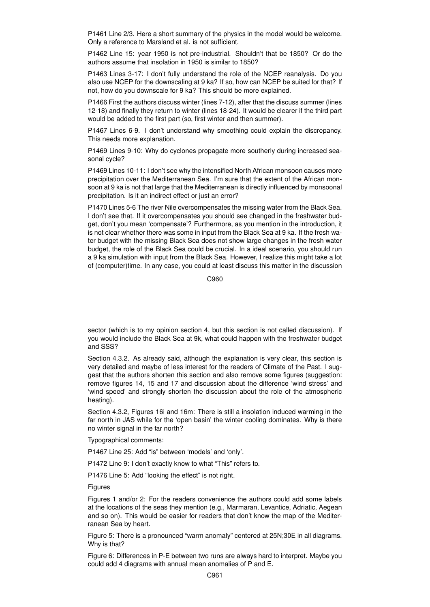P1461 Line 2/3. Here a short summary of the physics in the model would be welcome. Only a reference to Marsland et al. is not sufficient.

P1462 Line 15: year 1950 is not pre-industrial. Shouldn't that be 1850? Or do the authors assume that insolation in 1950 is similar to 1850?

P1463 Lines 3-17: I don't fully understand the role of the NCEP reanalysis. Do you also use NCEP for the downscaling at 9 ka? If so, how can NCEP be suited for that? If not, how do you downscale for 9 ka? This should be more explained.

P1466 First the authors discuss winter (lines 7-12), after that the discuss summer (lines 12-18) and finally they return to winter (lines 18-24). It would be clearer if the third part would be added to the first part (so, first winter and then summer).

P1467 Lines 6-9. I don't understand why smoothing could explain the discrepancy. This needs more explanation.

P1469 Lines 9-10: Why do cyclones propagate more southerly during increased seasonal cycle?

P1469 Lines 10-11: I don't see why the intensified North African monsoon causes more precipitation over the Mediterranean Sea. I'm sure that the extent of the African monsoon at 9 ka is not that large that the Mediterranean is directly influenced by monsoonal precipitation. Is it an indirect effect or just an error?

P1470 Lines 5-6 The river Nile overcompensates the missing water from the Black Sea. I don't see that. If it overcompensates you should see changed in the freshwater budget, don't you mean 'compensate'? Furthermore, as you mention in the introduction, it is not clear whether there was some in input from the Black Sea at 9 ka. If the fresh water budget with the missing Black Sea does not show large changes in the fresh water budget, the role of the Black Sea could be crucial. In a ideal scenario, you should run a 9 ka simulation with input from the Black Sea. However, I realize this might take a lot of (computer)time. In any case, you could at least discuss this matter in the discussion

C960

sector (which is to my opinion section 4, but this section is not called discussion). If you would include the Black Sea at 9k, what could happen with the freshwater budget and SSS?

Section 4.3.2. As already said, although the explanation is very clear, this section is very detailed and maybe of less interest for the readers of Climate of the Past. I suggest that the authors shorten this section and also remove some figures (suggestion: remove figures 14, 15 and 17 and discussion about the difference 'wind stress' and 'wind speed' and strongly shorten the discussion about the role of the atmospheric heating).

Section 4.3.2, Figures 16i and 16m: There is still a insolation induced warming in the far north in JAS while for the 'open basin' the winter cooling dominates. Why is there no winter signal in the far north?

Typographical comments:

P1467 Line 25: Add "is" between 'models' and 'only'.

P1472 Line 9: I don't exactly know to what "This" refers to.

P1476 Line 5: Add "looking the effect" is not right.

Figures

Figures 1 and/or 2: For the readers convenience the authors could add some labels at the locations of the seas they mention (e.g., Marmaran, Levantice, Adriatic, Aegean and so on). This would be easier for readers that don't know the map of the Mediterranean Sea by heart.

Figure 5: There is a pronounced "warm anomaly" centered at 25N;30E in all diagrams. Why is that?

Figure 6: Differences in P-E between two runs are always hard to interpret. Maybe you could add 4 diagrams with annual mean anomalies of P and E.